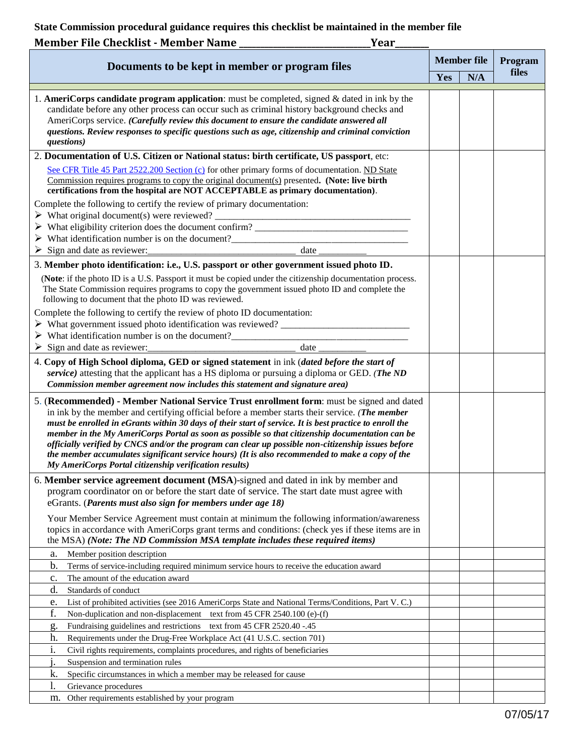**State Commission procedural guidance requires this checklist be maintained in the member file**

| Member File Checklist - Member Name<br>Year                                                                                                                                                                                                                                                                                                                                                                                                                                                                                                                                                                                                                                   |     |                    |         |
|-------------------------------------------------------------------------------------------------------------------------------------------------------------------------------------------------------------------------------------------------------------------------------------------------------------------------------------------------------------------------------------------------------------------------------------------------------------------------------------------------------------------------------------------------------------------------------------------------------------------------------------------------------------------------------|-----|--------------------|---------|
| Documents to be kept in member or program files                                                                                                                                                                                                                                                                                                                                                                                                                                                                                                                                                                                                                               |     | <b>Member file</b> | Program |
|                                                                                                                                                                                                                                                                                                                                                                                                                                                                                                                                                                                                                                                                               | Yes | N/A                | files   |
| 1. AmeriCorps candidate program application: must be completed, signed $\&$ dated in ink by the<br>candidate before any other process can occur such as criminal history background checks and<br>AmeriCorps service. (Carefully review this document to ensure the candidate answered all<br>questions. Review responses to specific questions such as age, citizenship and criminal conviction<br>questions)                                                                                                                                                                                                                                                                |     |                    |         |
| 2. Documentation of U.S. Citizen or National status: birth certificate, US passport, etc:                                                                                                                                                                                                                                                                                                                                                                                                                                                                                                                                                                                     |     |                    |         |
| See CFR Title 45 Part 2522.200 Section (c) for other primary forms of documentation. ND State<br><u>Commission requires programs to copy the original document(s)</u> presented. (Note: live birth<br>certifications from the hospital are NOT ACCEPTABLE as primary documentation).                                                                                                                                                                                                                                                                                                                                                                                          |     |                    |         |
| Complete the following to certify the review of primary documentation:                                                                                                                                                                                                                                                                                                                                                                                                                                                                                                                                                                                                        |     |                    |         |
|                                                                                                                                                                                                                                                                                                                                                                                                                                                                                                                                                                                                                                                                               |     |                    |         |
| date<br>$\triangleright$ Sign and date as reviewer:                                                                                                                                                                                                                                                                                                                                                                                                                                                                                                                                                                                                                           |     |                    |         |
| 3. Member photo identification: i.e., U.S. passport or other government issued photo ID.                                                                                                                                                                                                                                                                                                                                                                                                                                                                                                                                                                                      |     |                    |         |
| (Note: if the photo ID is a U.S. Passport it must be copied under the citizenship documentation process.<br>The State Commission requires programs to copy the government issued photo ID and complete the<br>following to document that the photo ID was reviewed.                                                                                                                                                                                                                                                                                                                                                                                                           |     |                    |         |
| Complete the following to certify the review of photo ID documentation:<br>> What government issued photo identification was reviewed?                                                                                                                                                                                                                                                                                                                                                                                                                                                                                                                                        |     |                    |         |
| > What identification number is on the document?                                                                                                                                                                                                                                                                                                                                                                                                                                                                                                                                                                                                                              |     |                    |         |
| Sign and date as reviewer:<br>date                                                                                                                                                                                                                                                                                                                                                                                                                                                                                                                                                                                                                                            |     |                    |         |
| 4. Copy of High School diploma, GED or signed statement in ink (dated before the start of<br>service) attesting that the applicant has a HS diploma or pursuing a diploma or GED. (The ND<br>Commission member agreement now includes this statement and signature area)                                                                                                                                                                                                                                                                                                                                                                                                      |     |                    |         |
| 5. (Recommended) - Member National Service Trust enrollment form: must be signed and dated<br>in ink by the member and certifying official before a member starts their service. (The member<br>must be enrolled in eGrants within 30 days of their start of service. It is best practice to enroll the<br>member in the My AmeriCorps Portal as soon as possible so that citizenship documentation can be<br>officially verified by CNCS and/or the program can clear up possible non-citizenship issues before<br>the member accumulates significant service hours) (It is also recommended to make a copy of the<br>My AmeriCorps Portal citizenship verification results) |     |                    |         |
| 6. Member service agreement document (MSA)-signed and dated in ink by member and<br>program coordinator on or before the start date of service. The start date must agree with                                                                                                                                                                                                                                                                                                                                                                                                                                                                                                |     |                    |         |
| eGrants. (Parents must also sign for members under age 18)<br>Your Member Service Agreement must contain at minimum the following information/awareness<br>topics in accordance with AmeriCorps grant terms and conditions: (check yes if these items are in<br>the MSA) (Note: The ND Commission MSA template includes these required items)                                                                                                                                                                                                                                                                                                                                 |     |                    |         |
| Member position description<br>a.                                                                                                                                                                                                                                                                                                                                                                                                                                                                                                                                                                                                                                             |     |                    |         |
| b.<br>Terms of service-including required minimum service hours to receive the education award                                                                                                                                                                                                                                                                                                                                                                                                                                                                                                                                                                                |     |                    |         |
| The amount of the education award<br>c.<br>d.<br>Standards of conduct                                                                                                                                                                                                                                                                                                                                                                                                                                                                                                                                                                                                         |     |                    |         |
| List of prohibited activities (see 2016 AmeriCorps State and National Terms/Conditions, Part V. C.)<br>e.                                                                                                                                                                                                                                                                                                                                                                                                                                                                                                                                                                     |     |                    |         |
| f.<br>Non-duplication and non-displacement text from 45 CFR 2540.100 (e)-(f)                                                                                                                                                                                                                                                                                                                                                                                                                                                                                                                                                                                                  |     |                    |         |
| Fundraising guidelines and restrictions text from 45 CFR 2520.40 -.45<br>g.                                                                                                                                                                                                                                                                                                                                                                                                                                                                                                                                                                                                   |     |                    |         |
| h.<br>Requirements under the Drug-Free Workplace Act (41 U.S.C. section 701)                                                                                                                                                                                                                                                                                                                                                                                                                                                                                                                                                                                                  |     |                    |         |
| i.<br>Civil rights requirements, complaints procedures, and rights of beneficiaries                                                                                                                                                                                                                                                                                                                                                                                                                                                                                                                                                                                           |     |                    |         |
| Suspension and termination rules                                                                                                                                                                                                                                                                                                                                                                                                                                                                                                                                                                                                                                              |     |                    |         |
| Specific circumstances in which a member may be released for cause<br>k.                                                                                                                                                                                                                                                                                                                                                                                                                                                                                                                                                                                                      |     |                    |         |
| 1.<br>Grievance procedures<br>Other requirements established by your program                                                                                                                                                                                                                                                                                                                                                                                                                                                                                                                                                                                                  |     |                    |         |
| m.                                                                                                                                                                                                                                                                                                                                                                                                                                                                                                                                                                                                                                                                            |     |                    |         |